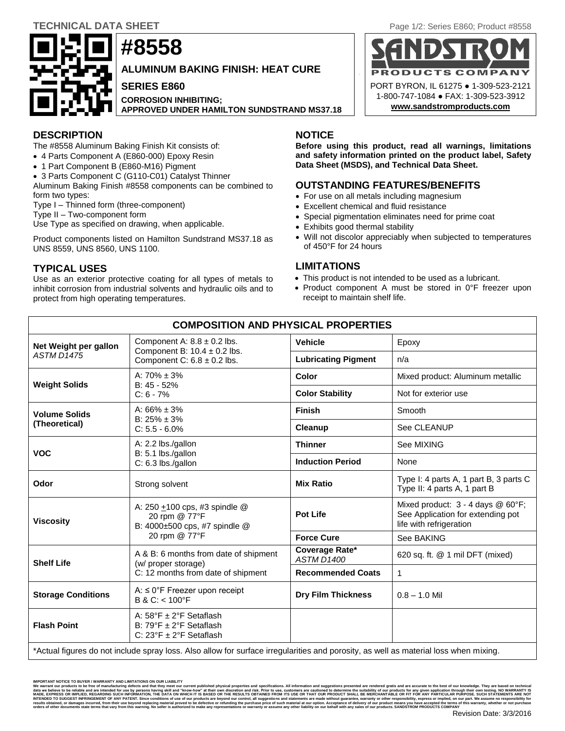# **#8558 ALUMINUM BAKING FINISH: HEAT CURE SERIES E860 CORROSION INHIBITING; APPROVED UNDER HAMILTON SUNDSTRAND MS37.18**



# **DESCRIPTION NOTICE**

The #8558 Aluminum Baking Finish Kit consists of:

- 4 Parts Component A (E860-000) Epoxy Resin
- 1 Part Component B (E860-M16) Pigment
- 3 Parts Component C (G110-C01) Catalyst Thinner

Aluminum Baking Finish #8558 components can be combined to form two types:

Type I – Thinned form (three-component)

Type II – Two-component form

Use Type as specified on drawing, when applicable.

Product components listed on Hamilton Sundstrand MS37.18 as UNS 8559, UNS 8560, UNS 1100.

# **TYPICAL USES**

Use as an exterior protective coating for all types of metals to inhibit corrosion from industrial solvents and hydraulic oils and to protect from high operating temperatures.

**Before using this product, read all warnings, limitations and safety information printed on the product label, Safety Data Sheet (MSDS), and Technical Data Sheet.**

# **OUTSTANDING FEATURES/BENEFITS**

- For use on all metals including magnesium
- Excellent chemical and fluid resistance
- Special pigmentation eliminates need for prime coat
- Exhibits good thermal stability
- Will not discolor appreciably when subjected to temperatures of 450°F for 24 hours

# **LIMITATIONS**

- This product is not intended to be used as a lubricant.
- Product component A must be stored in 0°F freezer upon receipt to maintain shelf life.

| <b>COMPOSITION AND PHYSICAL PROPERTIES</b> |                                                                                                                                      |                                     |                                                                                                     |  |
|--------------------------------------------|--------------------------------------------------------------------------------------------------------------------------------------|-------------------------------------|-----------------------------------------------------------------------------------------------------|--|
| Net Weight per gallon<br><b>ASTM D1475</b> | Component A: $8.8 \pm 0.2$ lbs.<br>Component B: $10.4 \pm 0.2$ lbs.<br>Component C: $6.8 \pm 0.2$ lbs.                               | <b>Vehicle</b>                      | Epoxy                                                                                               |  |
|                                            |                                                                                                                                      | <b>Lubricating Pigment</b>          | n/a                                                                                                 |  |
| <b>Weight Solids</b>                       | A: $70\% \pm 3\%$<br>B: 45 - 52%<br>$C: 6 - 7%$                                                                                      | Color                               | Mixed product: Aluminum metallic                                                                    |  |
|                                            |                                                                                                                                      | <b>Color Stability</b>              | Not for exterior use                                                                                |  |
| <b>Volume Solids</b><br>(Theoretical)      | A: $66\% \pm 3\%$<br>$B: 25\% \pm 3\%$<br>$C: 5.5 - 6.0\%$                                                                           | <b>Finish</b>                       | Smooth                                                                                              |  |
|                                            |                                                                                                                                      | Cleanup                             | See CLEANUP                                                                                         |  |
| <b>VOC</b>                                 | A: 2.2 lbs./gallon<br>B: 5.1 lbs./gallon<br>C: 6.3 lbs./gallon                                                                       | <b>Thinner</b>                      | See MIXING                                                                                          |  |
|                                            |                                                                                                                                      | <b>Induction Period</b>             | None                                                                                                |  |
| Odor                                       | Strong solvent                                                                                                                       | <b>Mix Ratio</b>                    | Type I: 4 parts A, 1 part B, 3 parts C<br>Type II: 4 parts A, 1 part B                              |  |
| <b>Viscosity</b>                           | A: 250 +100 cps, #3 spindle @<br>20 rpm @ 77°F<br>B: 4000±500 cps, #7 spindle @<br>20 rpm @ 77°F                                     | <b>Pot Life</b>                     | Mixed product: $3 - 4$ days @ 60°F;<br>See Application for extending pot<br>life with refrigeration |  |
|                                            |                                                                                                                                      | <b>Force Cure</b>                   | See BAKING                                                                                          |  |
| <b>Shelf Life</b>                          | A & B: 6 months from date of shipment<br>(w/ proper storage)<br>C: 12 months from date of shipment                                   | Coverage Rate*<br><b>ASTM D1400</b> | 620 sq. ft. @ 1 mil DFT (mixed)                                                                     |  |
|                                            |                                                                                                                                      | <b>Recommended Coats</b>            | 1                                                                                                   |  |
| <b>Storage Conditions</b>                  | A: $\leq 0$ °F Freezer upon receipt<br>$B & C: < 100^{\circ}F$                                                                       | <b>Dry Film Thickness</b>           | $0.8 - 1.0$ Mil                                                                                     |  |
| <b>Flash Point</b>                         | A: $58^{\circ}$ F ± 2 $^{\circ}$ F Setaflash<br>B: 79°F ± 2°F Setaflash<br>C: $23^{\circ}F \pm 2^{\circ}F$ Setaflash                 |                                     |                                                                                                     |  |
|                                            | *Actual figures do not include spray loss. Also allow for surface irregularities and porosity, as well as material loss when mixing. |                                     |                                                                                                     |  |

**IMPORTANT IMPORTANT IMPORTANTY AND LIMITATIONS ON OUR LIABILITY**<br>Infoducts to be free of manufacturing defects and that they meet our

lieve to be reliable and are intended for use by persons having skill and "know-how" at their own discretion and risk. Prior to use, customers are cautioned to determine the suitablity of our products for any given applica data we believe to be relate and are intended for use by persons having skill and "know-how" at their own discretion and risk. Prior to use customers are cautioned to determine the suitability of our products for any given INTENDED TO SUGGEST INFRINGEMENT OF ANY PATENT. Since conditions of use of our products are beyond our control, all suggestions and statements are made without guarantee, warranty or other responsibility, express or implie